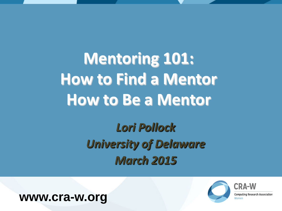**Mentoring 101: How to Find a Mentor How to Be a Mentor**

> *Lori Pollock University of Delaware March 2015*





**Computing Research Association**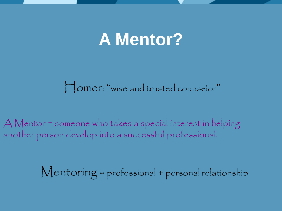## **A Mentor?**

Homer: "wise and trusted counselor"

A Mentor = someone who takes a special interest in helping another person develop into a successful professional.

Mentoring = professional + personal relationship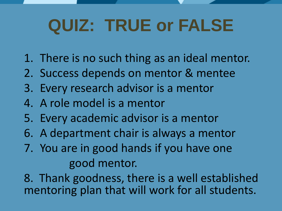## **QUIZ: TRUE or FALSE**

- 1. There is no such thing as an ideal mentor.
- 2. Success depends on mentor & mentee
- 3. Every research advisor is a mentor
- 4. A role model is a mentor
- 5. Every academic advisor is a mentor
- 6. A department chair is always a mentor
- 7. You are in good hands if you have one good mentor.

8. Thank goodness, there is a well established mentoring plan that will work for all students.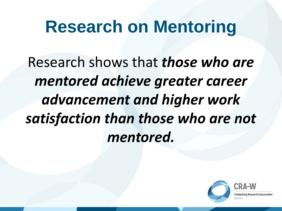## **Research on Mentoring**

Research shows that *those who are mentored achieve greater career advancement and higher work satisfaction than those who are not mentored.* 

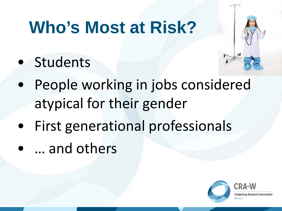## **Who's Most at Risk?**

• Students



- People working in jobs considered atypical for their gender
- First generational professionals
- … and others

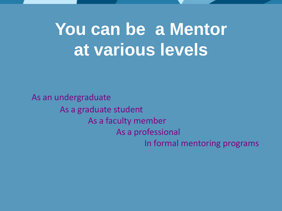## You can be a Mentor **at various levels**

As an undergraduate As a graduate student As a faculty member As a professional In formal mentoring programs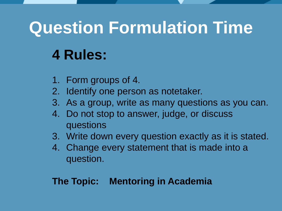## **Question Formulation Time**

## **4 Rules:**

- 1. Form groups of 4.
- 2. Identify one person as notetaker.
- 3. As a group, write as many questions as you can.
- 4. Do not stop to answer, judge, or discuss questions
- 3. Write down every question exactly as it is stated.
- 4. Change every statement that is made into a question.

#### **The Topic: Mentoring in Academia**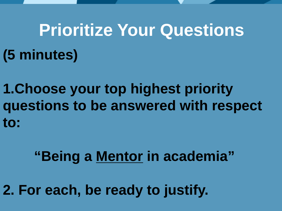# **Prioritize Your Questions (5 minutes)**

**1.Choose your top highest priority questions to be answered with respect to:** 

### **"Being a Mentor in academia"**

**2. For each, be ready to justify.**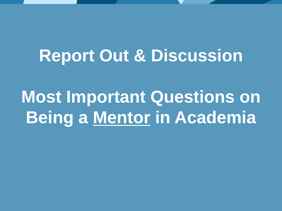## **Report Out & Discussion**

**Most Important Questions on Being a Mentor in Academia**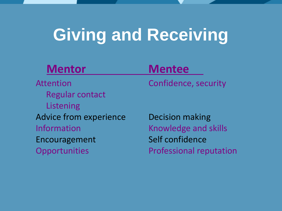## **Giving and Receiving**

#### **Mentor Mentee**

Attention Confidence, security Regular contact Listening Advice from experience Decision making Information **Exercise Exercise Endingle Service Endingle Service Endingle And Skills** Encouragement Self confidence Opportunities Professional reputation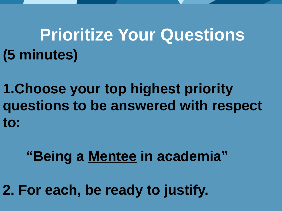## **Prioritize Your Questions (5 minutes)**

**1.Choose your top highest priority questions to be answered with respect to:** 

#### **"Being a Mentee in academia"**

**2. For each, be ready to justify.**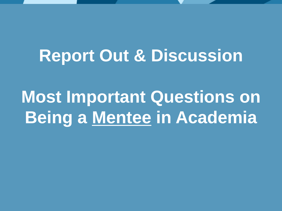## **Report Out & Discussion**

**Most Important Questions on Being a Mentee in Academia**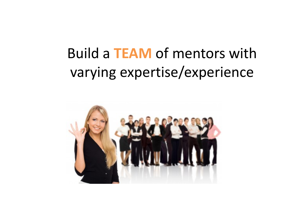## Build a **TEAM** of mentors with varying expertise/experience

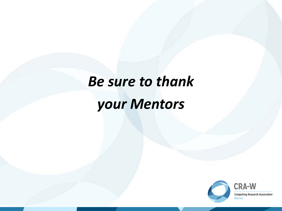## *Be sure to thank your Mentors*

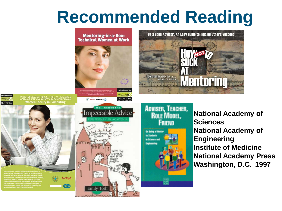## **Recommended Reading**

#### **Mentoring-in-a-Box: Technical Women at Work**





MENTORING-IN-A-BOX: **Women Faculty in Computing** 

vomen

INFORMATION

**AVAVA** 

*Pfizer* 



**National Academy of Sciences National Academy of Engineering Institute of Medicine National Academy Press**

**Washington, D.C. 1997**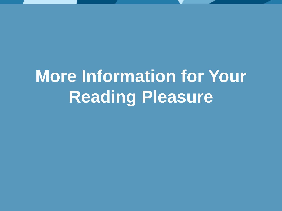## **More Information for Your Reading Pleasure**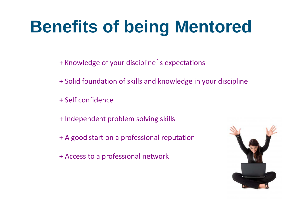## **Benefits of being Mentored**

- + Knowledge of your discipline's expectations
- + Solid foundation of skills and knowledge in your discipline
- + Self confidence
- + Independent problem solving skills
- + A good start on a professional reputation
- + Access to a professional network

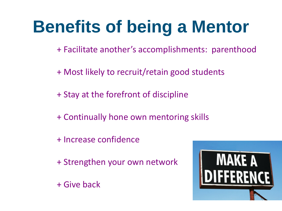## **Benefits of being a Mentor**

+ Facilitate another's accomplishments: parenthood

+ Most likely to recruit/retain good students

+ Stay at the forefront of discipline

+ Continually hone own mentoring skills

+ Increase confidence

+ Strengthen your own network

+ Give back

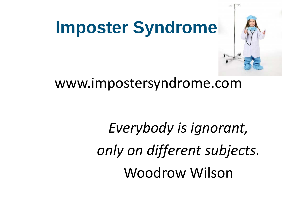

#### www.impostersyndrome.com

*Everybody is ignorant, only on different subjects.* Woodrow Wilson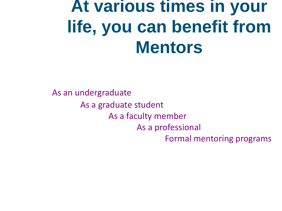## **At various times in your life, you can benefit from Mentors**

As an undergraduate As a graduate student As a faculty member As a professional Formal mentoring programs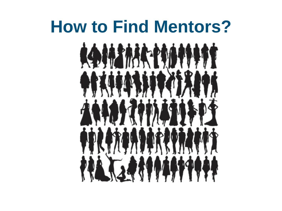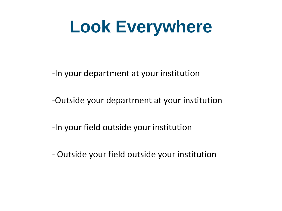## **Look Everywhere**

-In your department at your institution

-Outside your department at your institution

-In your field outside your institution

- Outside your field outside your institution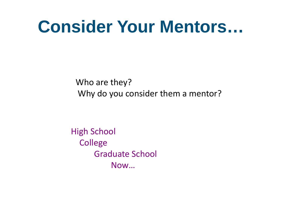## **Consider Your Mentors…**

Who are they? Why do you consider them a mentor?

High School **College**  Graduate School Now…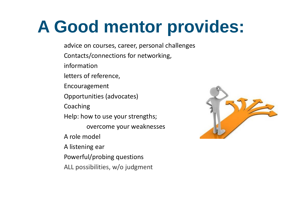## **A Good mentor provides:**

advice on courses, career, personal challenges

Contacts/connections for networking,

information

letters of reference,

Encouragement

Opportunities (advocates)

Coaching

Help: how to use your strengths;

overcome your weaknesses

A role model

A listening ear

Powerful/probing questions

ALL possibilities, w/o judgment

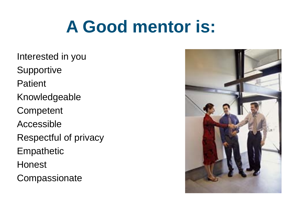## **A Good mentor is:**

Interested in you Supportive Patient Knowledgeable **Competent** Accessible Respectful of privacy **Empathetic** Honest **Compassionate** 

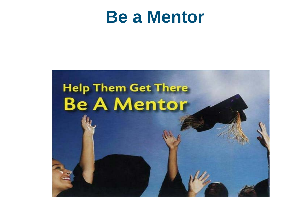## **Be a Mentor**

# **Help Them Get There Be A Mentor**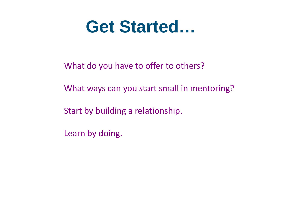## **Get Started…**

What do you have to offer to others?

What ways can you start small in mentoring?

Start by building a relationship.

Learn by doing.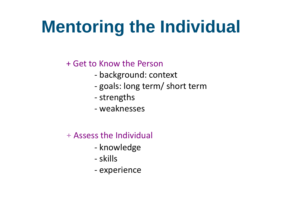## **Mentoring the Individual**

+ Get to Know the Person

- background: context
- goals: long term/ short term
- strengths
- weaknesses
- + Assess the Individual
	- knowledge
	- skills
	- experience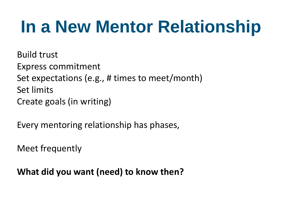## **In a New Mentor Relationship**

Build trust Express commitment Set expectations (e.g., # times to meet/month) Set limits Create goals (in writing)

Every mentoring relationship has phases,

Meet frequently

**What did you want (need) to know then?**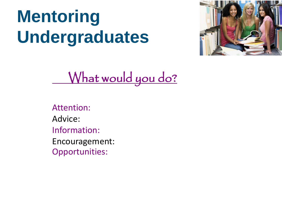## **Mentoring Undergraduates**



What would you do?

Attention: Advice: Information: Encouragement: Opportunities: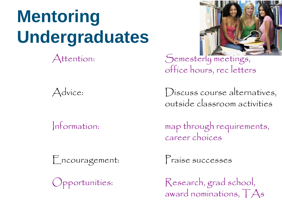#### **Mentoring Undergraduates** in the contract of the contract of the contract of the contract of the contract of the contract of the contract of the contract of the contract of the contract of the contract of the contract of the contract of the contrac



Encouragement: Praise successes



Attention: Semesterly meetings, office hours, rec letters

Advice: Discuss course alternatives, outside classroom activities

Information: map through requirements, career choices

Opportunities: Research, grad school, award nominations, TAs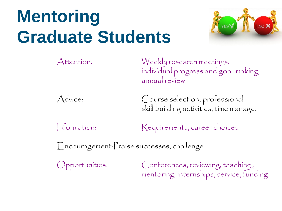## **Mentoring Graduate Students**



Attention: Weekly research meetings, individual progress and goal-making, annual review



Advice: Course selection, professional skill building activities, time manage.

Information: Requirements, career choices

Encouragement:Praise successes, challenge

Opportunities: Conferences, reviewing, teaching,, mentoring, internships, service, funding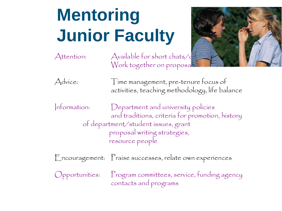## **Mentoring Junior Faculty**



Advice: Time management, pre-tenure focus of activities, teaching methodology, life balance

Information: Department and university policies and traditions, criteria for promotion, history of department/student issues, grant proposal writing strategies, resource people

Encouragement: Praise successes, relate own experiences

Opportunities: Program committees, service, funding agency contacts and programs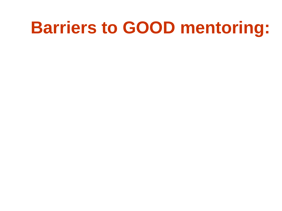## **Barriers to GOOD mentoring:**

- 
- 
- 
- 
- -
	- - -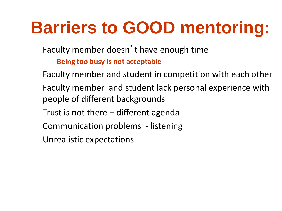## **Barriers to GOOD mentoring:**

Faculty member doesn't have enough time

**Being too busy is not acceptable**

Faculty member and student in competition with each other Faculty member and student lack personal experience with people of different backgrounds Trust is not there – different agenda Communication problems - listening Unrealistic expectations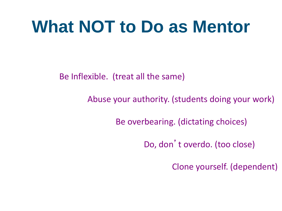## **What NOT to Do as Mentor**

Be Inflexible. (treat all the same)

Abuse your authority. (students doing your work)

Be overbearing. (dictating choices)

Do, don't overdo. (too close)

Clone yourself. (dependent)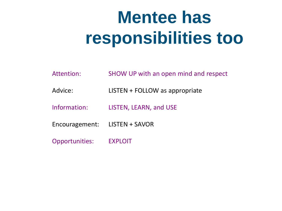## **Mentee has responsibilities too**

- Attention: SHOW UP with an open mind and respect
- Advice: LISTEN + FOLLOW as appropriate
- Information: LISTEN, LEARN, and USE
- Encouragement: LISTEN + SAVOR
- Opportunities: EXPLOIT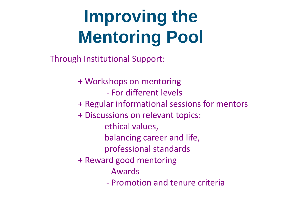## **Improving the Mentoring Pool**

Through Institutional Support:

+ Workshops on mentoring - For different levels + Regular informational sessions for mentors + Discussions on relevant topics: ethical values, balancing career and life, professional standards + Reward good mentoring - Awards

- Promotion and tenure criteria